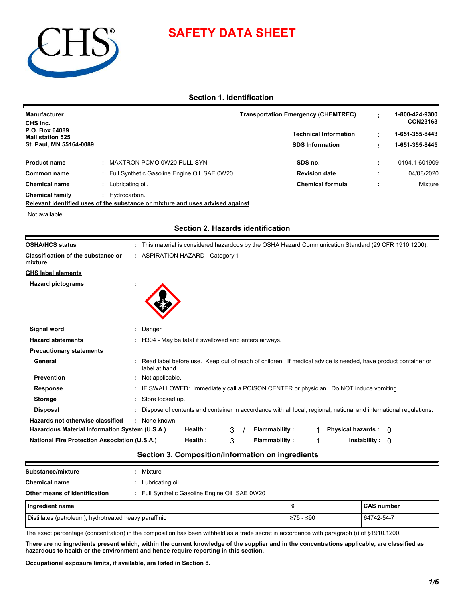

# **SAFETY DATA SHEET**

# **Section 1. Identification**

| <b>Manufacturer</b><br>CHS Inc.           |                                               | <b>Transportation Emergency (CHEMTREC)</b> | 1-800-424-9300<br><b>CCN23163</b> |
|-------------------------------------------|-----------------------------------------------|--------------------------------------------|-----------------------------------|
| P.O. Box 64089<br><b>Mail station 525</b> |                                               | <b>Technical Information</b>               | 1-651-355-8443                    |
| St. Paul, MN 55164-0089                   |                                               | <b>SDS Information</b>                     | 1-651-355-8445                    |
| <b>Product name</b>                       | MAXTRON PCMO 0W20 FULL SYN                    | SDS no.                                    | 0194.1-601909                     |
| Common name                               | : Full Synthetic Gasoline Engine Oil SAE 0W20 | <b>Revision date</b>                       | 04/08/2020                        |
| <b>Chemical name</b>                      | Lubricating oil.                              | <b>Chemical formula</b>                    | Mixture                           |
| <b>Chemical family</b>                    | Hydrocarbon.                                  |                                            |                                   |

**Relevant identified uses of the substance or mixture and uses advised against**

Not available.

 $\blacksquare$ 

| <b>OSHA/HCS status</b>                               | : This material is considered hazardous by the OSHA Hazard Communication Standard (29 CFR 1910.1200).                          |
|------------------------------------------------------|--------------------------------------------------------------------------------------------------------------------------------|
| Classification of the substance or<br>mixture        | : ASPIRATION HAZARD - Category 1                                                                                               |
| GHS label elements                                   |                                                                                                                                |
| <b>Hazard pictograms</b>                             |                                                                                                                                |
|                                                      |                                                                                                                                |
|                                                      |                                                                                                                                |
|                                                      |                                                                                                                                |
| Signal word                                          | : Danger                                                                                                                       |
| <b>Hazard statements</b>                             | : H304 - May be fatal if swallowed and enters airways.                                                                         |
| <b>Precautionary statements</b>                      |                                                                                                                                |
| General                                              | Read label before use. Keep out of reach of children. If medical advice is needed, have product container or<br>label at hand. |
| <b>Prevention</b>                                    | : Not applicable.                                                                                                              |
| <b>Response</b>                                      | IF SWALLOWED: Immediately call a POISON CENTER or physician. Do NOT induce vomiting.                                           |
| <b>Storage</b>                                       | : Store locked up.                                                                                                             |
| <b>Disposal</b>                                      | Dispose of contents and container in accordance with all local, regional, national and international regulations.              |
| Hazards not otherwise classified                     | : None known.                                                                                                                  |
| Hazardous Material Information System (U.S.A.)       | <b>Flammability:</b><br><b>Physical hazards:</b><br>Health:<br>3<br>$\Omega$                                                   |
| <b>National Fire Protection Association (U.S.A.)</b> | Health:<br><b>Flammability:</b><br>3<br>Instability: 0                                                                         |
|                                                      |                                                                                                                                |

# **Section 2. Hazards identification**

# **Section 3. Composition/information on ingredients**

| Substance/mixture                                      | Mixture                                     |           |                   |
|--------------------------------------------------------|---------------------------------------------|-----------|-------------------|
| <b>Chemical name</b>                                   | Lubricating oil.                            |           |                   |
| Other means of identification                          | Full Synthetic Gasoline Engine Oil SAE 0W20 |           |                   |
| Ingredient name                                        |                                             | %         | <b>CAS number</b> |
| Distillates (petroleum), hydrotreated heavy paraffinic |                                             | ≥75 - ≤90 | 64742-54-7        |

The exact percentage (concentration) in the composition has been withheld as a trade secret in accordance with paragraph (i) of §1910.1200.

**There are no ingredients present which, within the current knowledge of the supplier and in the concentrations applicable, are classified as hazardous to health or the environment and hence require reporting in this section.**

**Occupational exposure limits, if available, are listed in Section 8.**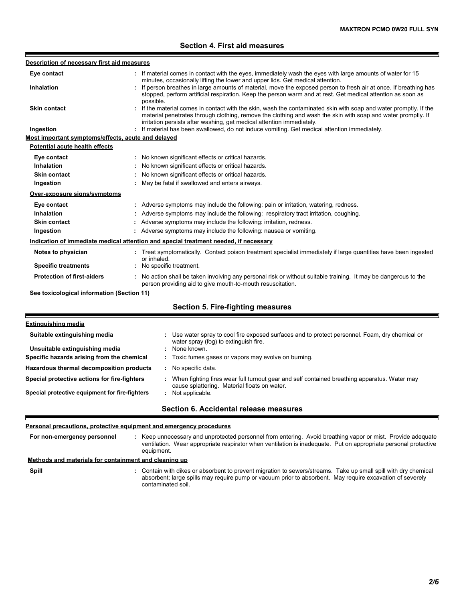# **Section 4. First aid measures**

| Description of necessary first aid measures        |                                                                                                                                                                                                                                                                                                            |
|----------------------------------------------------|------------------------------------------------------------------------------------------------------------------------------------------------------------------------------------------------------------------------------------------------------------------------------------------------------------|
| Eye contact                                        | If material comes in contact with the eyes, immediately wash the eyes with large amounts of water for 15<br>minutes, occasionally lifting the lower and upper lids. Get medical attention.                                                                                                                 |
| <b>Inhalation</b>                                  | If person breathes in large amounts of material, move the exposed person to fresh air at once. If breathing has<br>stopped, perform artificial respiration. Keep the person warm and at rest. Get medical attention as soon as<br>possible.                                                                |
| <b>Skin contact</b>                                | : If the material comes in contact with the skin, wash the contaminated skin with soap and water promptly. If the<br>material penetrates through clothing, remove the clothing and wash the skin with soap and water promptly. If<br>irritation persists after washing, get medical attention immediately. |
| Ingestion                                          | If material has been swallowed, do not induce vomiting. Get medical attention immediately.                                                                                                                                                                                                                 |
| Most important symptoms/effects, acute and delayed |                                                                                                                                                                                                                                                                                                            |
| Potential acute health effects                     |                                                                                                                                                                                                                                                                                                            |
| Eye contact                                        | : No known significant effects or critical hazards.                                                                                                                                                                                                                                                        |
| <b>Inhalation</b>                                  | No known significant effects or critical hazards.                                                                                                                                                                                                                                                          |
| <b>Skin contact</b>                                | No known significant effects or critical hazards.                                                                                                                                                                                                                                                          |
| Ingestion                                          | May be fatal if swallowed and enters airways.                                                                                                                                                                                                                                                              |
| Over-exposure signs/symptoms                       |                                                                                                                                                                                                                                                                                                            |
| Eye contact                                        | : Adverse symptoms may include the following: pain or irritation, watering, redness.                                                                                                                                                                                                                       |
| <b>Inhalation</b>                                  | Adverse symptoms may include the following: respiratory tract irritation, coughing.                                                                                                                                                                                                                        |
| <b>Skin contact</b>                                | Adverse symptoms may include the following: irritation, redness.                                                                                                                                                                                                                                           |
| Ingestion                                          | : Adverse symptoms may include the following: nausea or vomiting.                                                                                                                                                                                                                                          |
|                                                    | Indication of immediate medical attention and special treatment needed, if necessary                                                                                                                                                                                                                       |
| Notes to physician                                 | : Treat symptomatically. Contact poison treatment specialist immediately if large quantities have been ingested<br>or inhaled.                                                                                                                                                                             |
| <b>Specific treatments</b>                         | : No specific treatment.                                                                                                                                                                                                                                                                                   |
| <b>Protection of first-aiders</b>                  | : No action shall be taken involving any personal risk or without suitable training. It may be dangerous to the<br>person providing aid to give mouth-to-mouth resuscitation.                                                                                                                              |
| See toxicological information (Section 11)         |                                                                                                                                                                                                                                                                                                            |
|                                                    | Section 5. Fire-fighting measures                                                                                                                                                                                                                                                                          |
| Fxtinguishing media                                |                                                                                                                                                                                                                                                                                                            |

| Suitable extinguishing media                   | : Use water spray to cool fire exposed surfaces and to protect personnel. Foam, dry chemical or<br>water spray (fog) to extinguish fire.                |
|------------------------------------------------|---------------------------------------------------------------------------------------------------------------------------------------------------------|
| Unsuitable extinguishing media                 | None known.                                                                                                                                             |
| Specific hazards arising from the chemical     | : Toxic fumes gases or vapors may evolve on burning.                                                                                                    |
| Hazardous thermal decomposition products       | No specific data.                                                                                                                                       |
| Special protective actions for fire-fighters   | When fighting fires wear full turnout gear and self contained breathing apparatus. Water may<br>cause splattering. Material floats on water.            |
| Special protective equipment for fire-fighters | Not applicable.                                                                                                                                         |
|                                                | $\bigcap_{i=1}^n A_i$ and $\bigcap_{i=1}^n A_i$ and $\bigcap_{i=1}^n A_i$ and $\bigcap_{i=1}^n A_i$ and $\bigcap_{i=1}^n A_i$ and $\bigcap_{i=1}^n A_i$ |

### **Section 6. Accidental release measures**

## **Personal precautions, protective equipment and emergency procedures**

E

**Spill** Contain with dikes or absorbent to prevent migration to sewers/streams. Take up small spill with dry chemical **:** Keep unnecessary and unprotected personnel from entering. Avoid breathing vapor or mist. Provide adequate ventilation. Wear appropriate respirator when ventilation is inadequate. Put on appropriate personal protective equipment. **: Methods and materials for containment and cleaning up For non-emergency personnel**

absorbent; large spills may require pump or vacuum prior to absorbent. May require excavation of severely contaminated soil.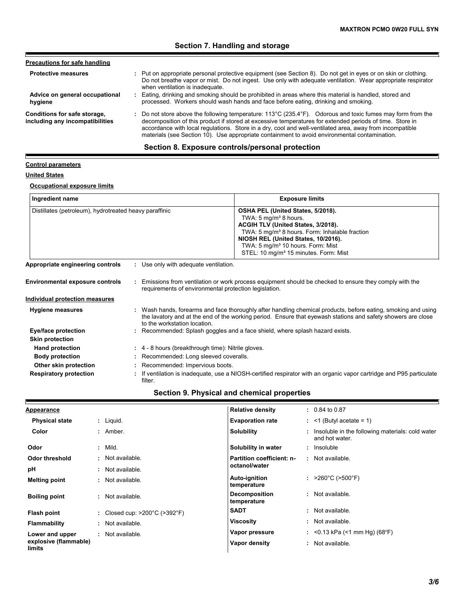# **Section 7. Handling and storage**

| <b>Precautions for safe handling</b>                            |                                                                                                                                                                                                                                                                                                                                                                                                                                     |
|-----------------------------------------------------------------|-------------------------------------------------------------------------------------------------------------------------------------------------------------------------------------------------------------------------------------------------------------------------------------------------------------------------------------------------------------------------------------------------------------------------------------|
| <b>Protective measures</b>                                      | : Put on appropriate personal protective equipment (see Section 8). Do not get in eyes or on skin or clothing.<br>Do not breathe vapor or mist. Do not ingest. Use only with adequate ventilation. Wear appropriate respirator<br>when ventilation is inadequate.                                                                                                                                                                   |
| Advice on general occupational<br>hygiene                       | : Eating, drinking and smoking should be prohibited in areas where this material is handled, stored and<br>processed. Workers should wash hands and face before eating, drinking and smoking.                                                                                                                                                                                                                                       |
| Conditions for safe storage,<br>including any incompatibilities | : Do not store above the following temperature: 113°C (235.4°F). Odorous and toxic fumes may form from the<br>decomposition of this product if stored at excessive temperatures for extended periods of time. Store in<br>accordance with local regulations. Store in a dry, cool and well-ventilated area, away from incompatible<br>materials (see Section 10). Use appropriate containment to avoid environmental contamination. |
|                                                                 | Section 8. Exposure controls/personal protection                                                                                                                                                                                                                                                                                                                                                                                    |

#### **Control parameters**

# **United States**

E

#### **Occupational exposure limits**

**Respiratory protection :**

| Ingredient name                                        |                                                       | <b>Exposure limits</b>                                                                                                                                                                                                                                                                                                 |
|--------------------------------------------------------|-------------------------------------------------------|------------------------------------------------------------------------------------------------------------------------------------------------------------------------------------------------------------------------------------------------------------------------------------------------------------------------|
| Distillates (petroleum), hydrotreated heavy paraffinic |                                                       | OSHA PEL (United States, 5/2018).<br>TWA: $5 \text{ mg/m}^3$ 8 hours.<br>ACGIH TLV (United States, 3/2018).<br>TWA: 5 mg/m <sup>3</sup> 8 hours. Form: Inhalable fraction<br>NIOSH REL (United States, 10/2016).<br>TWA: 5 mg/m <sup>3</sup> 10 hours. Form: Mist<br>STEL: 10 mg/m <sup>3</sup> 15 minutes. Form: Mist |
| Appropriate engineering controls                       | : Use only with adequate ventilation.                 |                                                                                                                                                                                                                                                                                                                        |
| <b>Environmental exposure controls</b>                 | requirements of environmental protection legislation. | Emissions from ventilation or work process equipment should be checked to ensure they comply with the                                                                                                                                                                                                                  |
| <b>Individual protection measures</b>                  |                                                       |                                                                                                                                                                                                                                                                                                                        |
| <b>Hygiene measures</b>                                | to the workstation location.                          | : Wash hands, forearms and face thoroughly after handling chemical products, before eating, smoking and using<br>the lavatory and at the end of the working period. Ensure that eyewash stations and safety showers are close                                                                                          |
| Eye/face protection                                    |                                                       | : Recommended: Splash goggles and a face shield, where splash hazard exists.                                                                                                                                                                                                                                           |
| <b>Skin protection</b>                                 |                                                       |                                                                                                                                                                                                                                                                                                                        |
| <b>Hand protection</b>                                 | : 4 - 8 hours (breakthrough time): Nitrile gloves.    |                                                                                                                                                                                                                                                                                                                        |
| <b>Body protection</b>                                 | : Recommended: Long sleeved coveralls.                |                                                                                                                                                                                                                                                                                                                        |

**Other skin protection :** Recommended: Impervious boots.

filter.

If ventilation is inadequate, use a NIOSH-certified respirator with an organic vapor cartridge and P95 particulate

| <b>Appearance</b>               | <b>Relative density</b>                                           | $: 0.84$ to 0.87                                                   |
|---------------------------------|-------------------------------------------------------------------|--------------------------------------------------------------------|
| <b>Physical state</b>           | <b>Evaporation rate</b><br>$:$ Liquid.                            | $:$ <1 (Butyl acetate = 1)                                         |
| Color                           | <b>Solubility</b><br>$:$ Amber.                                   | Insoluble in the following materials: cold water<br>and hot water. |
| Odor                            | $:$ Mild.<br>Solubility in water                                  | : Insoluble                                                        |
| Odor threshold                  | : Not available.                                                  | Partition coefficient: n-<br>: Not available.                      |
| pH                              | octanol/water<br>: Not available.                                 |                                                                    |
| <b>Melting point</b>            | Auto-ignition<br>: Not available.<br>temperature                  | : $>260^{\circ}$ C ( $>500^{\circ}$ F)                             |
| <b>Boiling point</b>            | <b>Decomposition</b><br>: Not available.<br>temperature           | : Not available.                                                   |
| Flash point                     | <b>SADT</b><br>: Closed cup: $>200^{\circ}$ C ( $>392^{\circ}$ F) | : Not available.                                                   |
| <b>Flammability</b>             | <b>Viscosity</b><br>: Not available.                              | : Not available.                                                   |
| Lower and upper                 | Vapor pressure<br>: Not available.                                | : <0.13 kPa (<1 mm Hg) (68°F)                                      |
| explosive (flammable)<br>limits | Vapor density                                                     | Not available.<br>÷.                                               |

# **Section 9. Physical and chemical properties**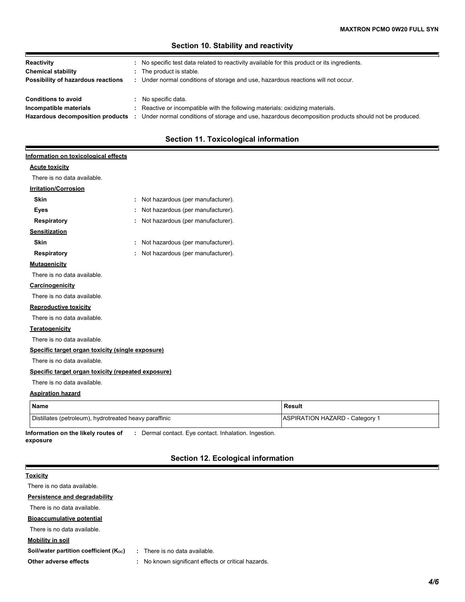# **Hazardous decomposition products Conditions to avoid Conditions to avoid notate the Conditions of Artic** Under normal conditions of storage and use, hazardous decomposition products should not be produced. **: Chemical stability i** The product is stable. **Possibility of hazardous reactions** : Under normal conditions of storage and use, hazardous reactions will not occur.<br> **Conditions to avoid** : No specific data.<br> **Incompatible materials** : Reactive or incompatible with th **Reactivity :** No specific test data related to reactivity available for this product or its ingredients.

## **Section 10. Stability and reactivity**

# **Section 11. Toxicological information**

#### **Information on toxicological effects**

#### **Acute toxicity**

F

There is no data available.

## **Irritation/Corrosion**

| <b>Skin</b>                                        |   | Not hazardous (per manufacturer). |
|----------------------------------------------------|---|-----------------------------------|
| Eyes                                               | ÷ | Not hazardous (per manufacturer). |
| Respiratory                                        | ÷ | Not hazardous (per manufacturer). |
| <b>Sensitization</b>                               |   |                                   |
| <b>Skin</b>                                        | ÷ | Not hazardous (per manufacturer). |
| Respiratory                                        | ÷ | Not hazardous (per manufacturer). |
| <b>Mutagenicity</b>                                |   |                                   |
| There is no data available                         |   |                                   |
| <b>Carcinogenicity</b>                             |   |                                   |
| There is no data available.                        |   |                                   |
| <b>Reproductive toxicity</b>                       |   |                                   |
| There is no data available.                        |   |                                   |
| <b>Teratogenicity</b>                              |   |                                   |
| There is no data available.                        |   |                                   |
| Specific target organ toxicity (single exposure)   |   |                                   |
| There is no data available.                        |   |                                   |
| Specific target organ toxicity (repeated exposure) |   |                                   |
| There is no data available.                        |   |                                   |
|                                                    |   |                                   |

#### **Aspiration hazard**

| Name                                                   | Result                         |
|--------------------------------------------------------|--------------------------------|
| Distillates (petroleum), hydrotreated heavy paraffinic | ASPIRATION HAZARD - Category 1 |

**Information on the likely routes of exposure :** Dermal contact. Eye contact. Inhalation. Ingestion.

# **Section 12. Ecological information**

| <b>Toxicity</b>                        |                                                         |
|----------------------------------------|---------------------------------------------------------|
| There is no data available.            |                                                         |
| Persistence and degradability          |                                                         |
| There is no data available.            |                                                         |
| <b>Bioaccumulative potential</b>       |                                                         |
| There is no data available.            |                                                         |
| Mobility in soil                       |                                                         |
| Soil/water partition coefficient (Koc) | There is no data available.<br>÷.                       |
| Other adverse effects                  | No known significant effects or critical hazards.<br>÷. |
|                                        |                                                         |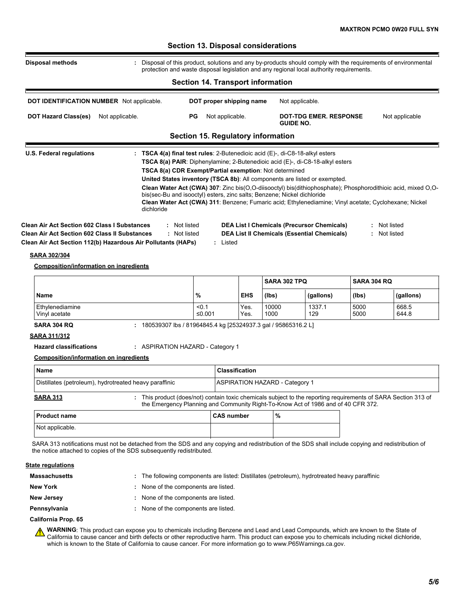| <b>Disposal methods</b>                                                                                                                                                                                          | : Disposal of this product, solutions and any by-products should comply with the requirements of environmental<br>protection and waste disposal legislation and any regional local authority requirements.                                                                                                                     |              |                  |                                                                                                         |                    |                              |
|------------------------------------------------------------------------------------------------------------------------------------------------------------------------------------------------------------------|--------------------------------------------------------------------------------------------------------------------------------------------------------------------------------------------------------------------------------------------------------------------------------------------------------------------------------|--------------|------------------|---------------------------------------------------------------------------------------------------------|--------------------|------------------------------|
|                                                                                                                                                                                                                  | <b>Section 14. Transport information</b>                                                                                                                                                                                                                                                                                       |              |                  |                                                                                                         |                    |                              |
|                                                                                                                                                                                                                  |                                                                                                                                                                                                                                                                                                                                |              |                  |                                                                                                         |                    |                              |
| <b>DOT IDENTIFICATION NUMBER</b> Not applicable.                                                                                                                                                                 | DOT proper shipping name                                                                                                                                                                                                                                                                                                       |              | Not applicable.  |                                                                                                         |                    |                              |
| <b>DOT Hazard Class(es)</b><br>Not applicable.                                                                                                                                                                   | PG<br>Not applicable.                                                                                                                                                                                                                                                                                                          |              | <b>GUIDE NO.</b> | <b>DOT-TDG EMER. RESPONSE</b>                                                                           |                    | Not applicable               |
|                                                                                                                                                                                                                  | Section 15. Regulatory information                                                                                                                                                                                                                                                                                             |              |                  |                                                                                                         |                    |                              |
|                                                                                                                                                                                                                  | TSCA 8(a) CDR Exempt/Partial exemption: Not determined<br>United States inventory (TSCA 8b): All components are listed or exempted.<br>Clean Water Act (CWA) 307: Zinc bis(O,O-diisooctyl) bis(dithiophosphate); Phosphorodithioic acid, mixed O,O-<br>bis(sec-Bu and isooctyl) esters, zinc salts; Benzene; Nickel dichloride |              |                  |                                                                                                         |                    |                              |
| dichloride<br><b>Clean Air Act Section 602 Class I Substances</b><br><b>Clean Air Act Section 602 Class II Substances</b><br>Clean Air Act Section 112(b) Hazardous Air Pollutants (HAPs)<br><b>SARA 302/304</b> | Clean Water Act (CWA) 311: Benzene; Fumaric acid; Ethylenediamine; Vinyl acetate; Cyclohexane; Nickel<br>: Not listed<br>: Not listed<br>: Listed                                                                                                                                                                              |              |                  | <b>DEA List I Chemicals (Precursor Chemicals)</b><br><b>DEA List II Chemicals (Essential Chemicals)</b> |                    | : Not listed<br>: Not listed |
| <b>Composition/information on ingredients</b>                                                                                                                                                                    |                                                                                                                                                                                                                                                                                                                                |              | SARA 302 TPQ     |                                                                                                         | <b>SARA 304 RQ</b> |                              |
| Name                                                                                                                                                                                                             | %                                                                                                                                                                                                                                                                                                                              | <b>EHS</b>   | (lbs)            | (gallons)                                                                                               | (lbs)              | (gallons)                    |
| Ethylenediamine<br>Vinyl acetate                                                                                                                                                                                 | < 0.1<br>≤0.001                                                                                                                                                                                                                                                                                                                | Yes.<br>Yes. | 10000<br>1000    | 1337.1<br>129                                                                                           | 5000<br>5000       | 668.5<br>644.8               |
| <b>SARA 304 RQ</b>                                                                                                                                                                                               | : 180539307 lbs / 81964845.4 kg [25324937.3 gal / 95865316.2 L]                                                                                                                                                                                                                                                                |              |                  |                                                                                                         |                    |                              |
|                                                                                                                                                                                                                  |                                                                                                                                                                                                                                                                                                                                |              |                  |                                                                                                         |                    |                              |
| <b>Hazard classifications</b>                                                                                                                                                                                    | : ASPIRATION HAZARD - Category 1                                                                                                                                                                                                                                                                                               |              |                  |                                                                                                         |                    |                              |
| <u>SARA 311/312</u><br><b>Composition/information on ingredients</b>                                                                                                                                             |                                                                                                                                                                                                                                                                                                                                |              |                  |                                                                                                         |                    |                              |

| <b>Name</b><br>Distillates (petroleum), hydrotreated heavy paraffinic |  | <b>Classification</b><br><b>ASPIRATION HAZARD - Category 1</b> |  |
|-----------------------------------------------------------------------|--|----------------------------------------------------------------|--|
|                                                                       |  |                                                                |  |

| <b>Product name</b> | <b>CAS number</b> | % |
|---------------------|-------------------|---|
| Not applicable.     |                   |   |

SARA 313 notifications must not be detached from the SDS and any copying and redistribution of the SDS shall include copying and redistribution of the notice attached to copies of the SDS subsequently redistributed.

### **State regulations**

| <b>Massachusetts</b> | : The following components are listed: Distillates (petroleum), hydrotreated heavy paraffinic |
|----------------------|-----------------------------------------------------------------------------------------------|
| <b>New York</b>      | : None of the components are listed.                                                          |
| <b>New Jersey</b>    | : None of the components are listed.                                                          |
| Pennsylvania         | : None of the components are listed.                                                          |
| California Prop. 65  |                                                                                               |

**WARNING**: This product can expose you to chemicals including Benzene and Lead and Lead Compounds, which are known to the State of California to cause cancer and birth defects or other reproductive harm. This product can expose you to chemicals including nickel dichloride, which is known to the State of California to cause cancer. For more information go to www.P65Warnings.ca.gov.